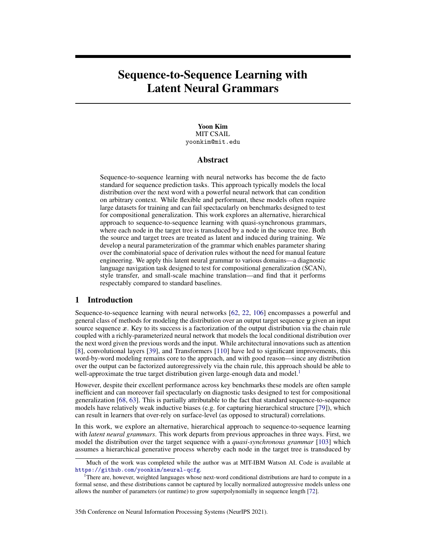# Sequence-to-Sequence Learning with Latent Neural Grammars

## Yoon Kim MIT CSAIL yoonkim@mit.edu

# Abstract

Sequence-to-sequence learning with neural networks has become the de facto standard for sequence prediction tasks. This approach typically models the local distribution over the next word with a powerful neural network that can condition on arbitrary context. While flexible and performant, these models often require large datasets for training and can fail spectacularly on benchmarks designed to test for compositional generalization. This work explores an alternative, hierarchical approach to sequence-to-sequence learning with quasi-synchronous grammars, where each node in the target tree is transduced by a node in the source tree. Both the source and target trees are treated as latent and induced during training. We develop a neural parameterization of the grammar which enables parameter sharing over the combinatorial space of derivation rules without the need for manual feature engineering. We apply this latent neural grammar to various domains—a diagnostic language navigation task designed to test for compositional generalization (SCAN), style transfer, and small-scale machine translation—and find that it performs respectably compared to standard baselines[.](#page-0-0)

# 1 Introduction

Sequence-to-sequence learning with neural networks [\[62,](#page-12-0) [22,](#page-10-0) [106\]](#page-14-0) encompasses a powerful and general class of methods for modeling the distribution over an output target sequence  $y$  given an input source sequence  $x$ . Key to its success is a factorization of the output distribution via the chain rule coupled with a richly-parameterized neural network that models the local conditional distribution over the next word given the previous words and the input. While architectural innovations such as attention [\[8\]](#page-10-1), convolutional layers [\[39\]](#page-11-0), and Transformers [\[110\]](#page-14-1) have led to significant improvements, this word-by-word modeling remains core to the approach, and with good reason—since any distribution over the output can be factorized autoregressively via the chain rule, this approach should be able to well-approximate the true target distribution given large-enough data and model.<sup>[1](#page-0-1)</sup>

However, despite their excellent performance across key benchmarks these models are often sample inefficient and can moreover fail spectacularly on diagnostic tasks designed to test for compositional generalization [\[68,](#page-12-1) [63\]](#page-12-2). This is partially attributable to the fact that standard sequence-to-sequence models have relatively weak inductive biases (e.g. for capturing hierarchical structure [\[79\]](#page-13-0)), which can result in learners that over-rely on surface-level (as opposed to structural) correlations.

In this work, we explore an alternative, hierarchical approach to sequence-to-sequence learning with *latent neural grammars*. This work departs from previous approaches in three ways. First, we model the distribution over the target sequence with a *quasi-synchronous grammar* [\[103\]](#page-14-2) which assumes a hierarchical generative process whereby each node in the target tree is transduced by

<span id="page-0-0"></span>Much of the work was completed while the author was at MIT-IBM Watson AI. Code is available at <https://github.com/yoonkim/neural-qcfg>.

<span id="page-0-1"></span><sup>&</sup>lt;sup>1</sup>There are, however, weighted languages whose next-word conditional distributions are hard to compute in a formal sense, and these distributions cannot be captured by locally normalized autogressive models unless one allows the number of parameters (or runtime) to grow superpolynomially in sequence length [\[72\]](#page-13-1).

<sup>35</sup>th Conference on Neural Information Processing Systems (NeurIPS 2021).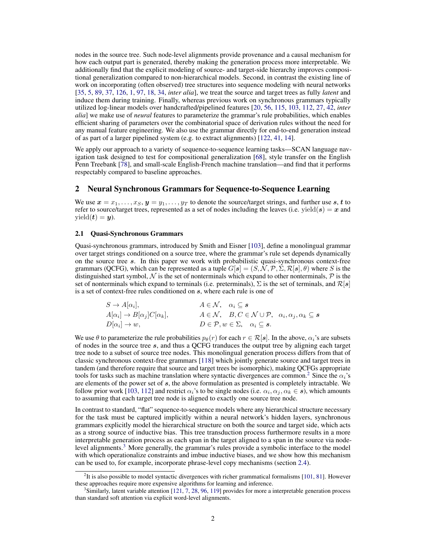nodes in the source tree. Such node-level alignments provide provenance and a causal mechanism for how each output part is generated, thereby making the generation process more interpretable. We additionally find that the explicit modeling of source- and target-side hierarchy improves compositional generalization compared to non-hierarchical models. Second, in contrast the existing line of work on incorporating (often observed) tree structures into sequence modeling with neural networks [\[35,](#page-11-1) [5,](#page-10-2) [89,](#page-13-2) [37,](#page-11-2) [126,](#page-15-0) [1,](#page-10-3) [97,](#page-14-3) [18,](#page-10-4) [34,](#page-11-3) *inter alia*], we treat the source and target trees as fully *latent* and induce them during training. Finally, whereas previous work on synchronous grammars typically utilized log-linear models over handcrafted/pipelined features [\[20,](#page-10-5) [56,](#page-12-3) [115,](#page-15-1) [103,](#page-14-2) [112,](#page-14-4) [27,](#page-11-4) [42,](#page-11-5) *inter alia*] we make use of *neural* features to parameterize the grammar's rule probabilities, which enables efficient sharing of parameters over the combinatorial space of derivation rules without the need for any manual feature engineering. We also use the grammar directly for end-to-end generation instead of as part of a larger pipelined system (e.g. to extract alignments) [\[122,](#page-15-2) [41,](#page-11-6) [14\]](#page-10-6).

We apply our approach to a variety of sequence-to-sequence learning tasks—SCAN language navigation task designed to test for compositional generalization [\[68\]](#page-12-1), style transfer on the English Penn Treebank [\[78\]](#page-13-3), and small-scale English-French machine translation—and find that it performs respectably compared to baseline approaches.

# 2 Neural Synchronous Grammars for Sequence-to-Sequence Learning

We use  $x = x_1, \ldots, x_S, y = y_1, \ldots, y_T$  to denote the source/target strings, and further use s, t to refer to source/target trees, represented as a set of nodes including the leaves (i.e. yield( $s$ ) = x and  $yield(t) = y).$ 

# 2.1 Quasi-Synchronous Grammars

Quasi-synchronous grammars, introduced by Smith and Eisner [\[103\]](#page-14-2), define a monolingual grammar over target strings conditioned on a source tree, where the grammar's rule set depends dynamically on the source tree s. In this paper we work with probabilistic quasi-synchronous context-free grammars (QCFG), which can be represented as a tuple  $G[s] = (S, \overline{N}, \mathcal{P}, \Sigma, \mathcal{R}[s], \theta)$  where S is the distinguished start symbol,  $\mathcal N$  is the set of nonterminals which expand to other nonterminals,  $\mathcal P$  is the set of nonterminals which expand to terminals (i.e. preterminals),  $\Sigma$  is the set of terminals, and  $\mathcal{R}[s]$ is a set of context-free rules conditioned on s, where each rule is one of

$$
S \to A[\alpha_i], \qquad A \in \mathcal{N}, \quad \alpha_i \subseteq s
$$
  
\n
$$
A[\alpha_i] \to B[\alpha_j]C[\alpha_k], \qquad A \in \mathcal{N}, \quad B, C \in \mathcal{N} \cup \mathcal{P}, \quad \alpha_i, \alpha_j, \alpha_k \subseteq s
$$
  
\n
$$
D[\alpha_i] \to w, \qquad D \in \mathcal{P}, w \in \Sigma, \quad \alpha_i \subseteq s.
$$

We use  $\theta$  to parameterize the rule probabilities  $p_{\theta}(r)$  for each  $r \in \mathcal{R}[s]$ . In the above,  $\alpha_i$ 's are subsets of nodes in the source tree s, and thus a QCFG tranduces the output tree by aligning each target tree node to a subset of source tree nodes. This monolingual generation process differs from that of classic synchronous context-free grammars [\[118\]](#page-15-3) which jointly generate source and target trees in tandem (and therefore require that source and target trees be isomorphic), making QCFGs appropriate tools for tasks such as machine translation where syntactic divergences are common.<sup>[2](#page-1-0)</sup> Since the  $\alpha_i$ 's are elements of the power set of  $s$ , the above formulation as presented is completely intractable. We follow prior work [\[103,](#page-14-2) [112\]](#page-14-4) and restrict  $\alpha_i$ 's to be single nodes (i.e.  $\alpha_i, \alpha_j, \alpha_k \in \mathbf{s}$ ), which amounts to assuming that each target tree node is aligned to exactly one source tree node.

In contrast to standard, "flat" sequence-to-sequence models where any hierarchical structure necessary for the task must be captured implicitly within a neural network's hidden layers, synchronous grammars explicitly model the hierarchical structure on both the source and target side, which acts as a strong source of inductive bias. This tree transduction process furthermore results in a more interpretable generation process as each span in the target aligned to a span in the source via nodelevel alignments.[3](#page-1-1) More generally, the grammar's rules provide a symbolic interface to the model with which operationalize constraints and imbue inductive biases, and we show how this mechanism can be used to, for example, incorporate phrase-level copy mechanisms (section [2.4\)](#page-3-0).

<span id="page-1-0"></span> ${}^{2}$ It is also possible to model syntactic divergences with richer grammatical formalisms [\[101,](#page-14-5) [81\]](#page-13-4). However these approaches require more expensive algorithms for learning and inference.

<span id="page-1-1"></span><sup>3</sup> Similarly, latent variable attention [\[121,](#page-15-4) [7,](#page-10-7) [28,](#page-11-7) [96,](#page-14-6) [119\]](#page-15-5) provides for more a interpretable generation process than standard soft attention via explicit word-level alignments.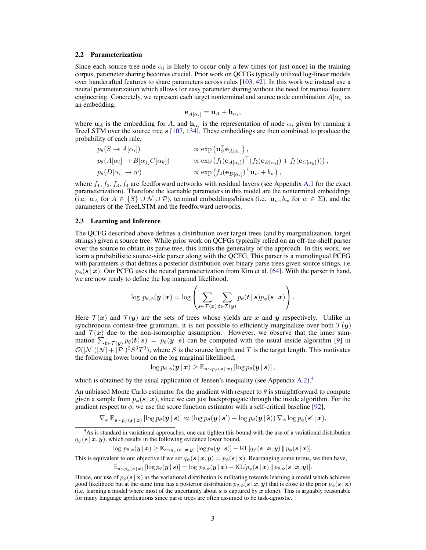#### 2.2 Parameterization

Since each source tree node  $\alpha_i$  is likely to occur only a few times (or just once) in the training corpus, parameter sharing becomes crucial. Prior work on QCFGs typically utilized log-linear models over handcrafted features to share parameters across rules [\[103,](#page-14-2) [42\]](#page-11-5). In this work we instead use a neural parameterization which allows for easy parameter sharing without the need for manual feature engineering. Concretely, we represent each target nonterminal and source node combination  $A[\alpha_i]$  as an embedding,

$$
\mathbf{e}_{A[\alpha_i]} = \mathbf{u}_A + \mathbf{h}_{\alpha_i},
$$

where  $u_A$  is the embedding for A, and  $h_{\alpha_i}$  is the representation of node  $\alpha_i$  given by running a TreeLSTM over the source tree s [\[107,](#page-14-7) [134\]](#page-15-6). These embeddings are then combined to produce the probability of each rule,

$$
p_{\theta}(S \to A[\alpha_i]) \qquad \propto \exp(\mathbf{u}_S^{\top} \mathbf{e}_{A[\alpha_i]}) ,
$$
  
\n
$$
p_{\theta}(A[\alpha_i] \to B[\alpha_j]C[\alpha_k]) \qquad \propto \exp(f_1(\mathbf{e}_{A[\alpha_i]})^{\top} (f_2(\mathbf{e}_{B[\alpha_j]}) + f_3(\mathbf{e}_{C[\alpha_k]}))) ) ,
$$
  
\n
$$
p_{\theta}(D[\alpha_i] \to w) \qquad \propto \exp(f_4(\mathbf{e}_{D[\alpha_i]})^{\top} \mathbf{u}_w + b_w) ,
$$

where  $f_1, f_2, f_3, f_4$  are feedforward networks with residual layers (see Appendix A.1 for the exact parameterization). Therefore the learnable parameters in this model are the nonterminal embeddings (i.e.  $u_A$  for  $A \in \{S\} \cup \mathcal{N} \cup \mathcal{P}$ ), terminal embeddings/biases (i.e.  $u_w, b_w$  for  $w \in \Sigma$ ), and the parameters of the TreeLSTM and the feedforward networks.

### 2.3 Learning and Inference

The QCFG described above defines a distribution over target trees (and by marginalization, target strings) given a source tree. While prior work on QCFGs typically relied on an off-the-shelf parser over the source to obtain its parse tree, this limits the generality of the approach. In this work, we learn a probabilistic source-side parser along with the QCFG. This parser is a monolingual PCFG with parameters  $\phi$  that defines a posterior distribution over binary parse trees given source strings, i.e.  $p_{\phi}(s | x)$ . Our PCFG uses the neural parameterization from Kim et al. [\[64\]](#page-12-4). With the parser in hand, we are now ready to define the log marginal likelihood,

$$
\log \, p_{\theta, \phi}(\boldsymbol{y} \,|\, \boldsymbol{x}) = \log \left( \sum_{\boldsymbol{s} \in \mathcal{T}(\boldsymbol{x})} \sum_{\boldsymbol{t} \in \mathcal{T}(\boldsymbol{y})} p_{\theta}(\boldsymbol{t} \,|\, \boldsymbol{s}) p_{\phi}(\boldsymbol{s} \,|\, \boldsymbol{x}) \right).
$$

Here  $\mathcal{T}(x)$  and  $\mathcal{T}(y)$  are the sets of trees whose yields are x and y respectively. Unlike in synchronous context-free grammars, it is not possible to efficiently marginalize over both  $\mathcal{T}(\mathbf{y})$ and  $T(x)$  due to the non-isomorphic assumption. However, we observe that the inner summation  $\sum_{t \in \mathcal{T}(y)} p_{\theta}(t | s) = p_{\theta}(y | s)$  can be computed with the usual inside algorithm [\[9\]](#page-10-8) in  $\mathcal{O}(|\mathcal{N}|(|\mathcal{N}|+|\mathcal{P}|)^2S^3T^3)$ , where S is the source length and T is the target length. This motivates the following lower bound on the log marginal likelihood,

$$
\log p_{\theta,\phi}(\mathbf{y} \,|\, \mathbf{x}) \geq \mathbb{E}_{\mathbf{s} \sim p_{\phi}(\mathbf{s} \,|\, \mathbf{x})}\left[\log p_{\theta}(\mathbf{y} \,|\, \mathbf{s})\right],
$$

which is obtained by the usual application of Jensen's inequality (see Appendix A.2).<sup>[4](#page-2-0)</sup>

An unbiased Monte Carlo estimator for the gradient with respect to  $\theta$  is straightforward to compute given a sample from  $p_{\phi}(s | x)$ , since we can just backpropagate through the inside algorithm. For the gradient respect to  $\phi$ , we use the score function estimator with a self-critical baseline [\[92\]](#page-14-8),

 $\nabla_{\phi} \mathbb{E}_{\boldsymbol{s} \sim p_{\phi}(\boldsymbol{s} \,|\, \boldsymbol{x})} \left[ \log p_{\theta}(\boldsymbol{y} \,|\, \boldsymbol{s}) \right] \approx \left( \log p_{\theta}(\boldsymbol{y} \,|\, \boldsymbol{s}') - \log p_{\theta}(\boldsymbol{y} \,|\, \widehat{\boldsymbol{s}}) \right) \nabla_{\phi} \log p_{\phi}(\boldsymbol{s}' \,|\, \boldsymbol{x}),$ 

$$
\log \, p_{\theta, \phi}(\boldsymbol{y} \,|\, \boldsymbol{x}) \geq \mathbb{E}_{\boldsymbol{s} \sim q_{\psi}(\boldsymbol{s} \,|\, \boldsymbol{x}, \boldsymbol{y}) } \, [\log p_{\theta}(\boldsymbol{y} \,|\, \boldsymbol{s})] - \mathrm{KL}[q_{\psi}(\boldsymbol{s} \,|\, \boldsymbol{x}, \boldsymbol{y}) \, \| \, p_{\phi}(\boldsymbol{s} \,|\, \boldsymbol{x})].
$$

This is equivalent to our objective if we set  $q_{\psi}(s | x, y) = p_{\phi}(s | x)$ . Rearranging some terms, we then have,

$$
\mathbb{E}_{\boldsymbol{s}\sim p_{\phi}(\boldsymbol{s}\,|\, \boldsymbol{x})} \left[ \log p_{\theta}(\boldsymbol{y}\,|\, \boldsymbol{s}) \right] = \log \, p_{\theta, \phi}(\boldsymbol{y}\,|\, \boldsymbol{x}) - \mathrm{KL}[p_{\phi}(\boldsymbol{s}\,|\, \boldsymbol{x}) \, \| \, p_{\theta, \phi}(\boldsymbol{s}\,|\, \boldsymbol{x}, \boldsymbol{y})].
$$

<span id="page-2-0"></span><sup>4</sup>As is standard in variational approaches, one can tighten this bound with the use of a variational distribution  $q_{\psi}(s | x, y)$ , which results in the following evidence lower bound,

Hence, our use of  $p_{\phi}(s | x)$  as the variational distribution is militating towards learning a model which achieves good likelihood but at the same time has a posterior distribution  $p_{\theta,\phi}(s | x, y)$  that is close to the prior  $p_{\phi}(s | x)$ (i.e. learning a model where most of the uncertainty about s is captured by  $x$  alone). This is arguably reasonable for many language applications since parse trees are often assumed to be task-agnostic.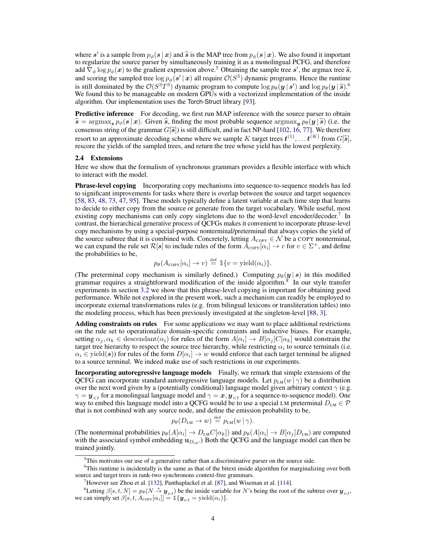where s' is a sample from  $p_{\phi}(s | x)$  and  $\hat{s}$  is the MAP tree from  $p_{\phi}(s | x)$ . We also found it important to requiring the source parset by simultaneously training it as a monolingual PCEG and therefore to regularize the source parser by simultaneously training it as a monolingual PCFG, and therefore add  $\bar{\nabla}_{\phi} \log p_{\phi}(\boldsymbol{x})$  to the gradient expression above.<sup>[5](#page-3-1)</sup> Obtaining the sample tree s', the argmax tree  $\hat{s}$ , and scoring the sampled tree  $\log p_{\phi}(s' | x)$  all require  $\mathcal{O}(S^3)$  dynamic programs. Hence the runtime is still dominated by the  $\mathcal{O}(S^3T^3)$  dynamic program to compute  $\log p_\theta(\mathbf{y} | \mathbf{s}')$  and  $\log p_\theta(\mathbf{y} | \mathbf{s})$ .<sup>[6](#page-3-2)</sup> We found this to be manageable on modern GPUs with a vectorized implementation of the inside algorithm. Our implementation uses the Torch-Struct library [\[93\]](#page-14-9).

Predictive inference For decoding, we first run MAP inference with the source parser to obtain  $\hat{s} = \argmax_{s} p_{\phi}(s | x)$ . Given  $\hat{s}$ , finding the most probable sequence  $\argmax_{y} p_{\theta}(y | \hat{s})$  (i.e. the consensus string of the grammar  $G[\hat{s}]$ ) is still difficult, and in fact NP-hard [\[102,](#page-14-10) [16,](#page-10-9) [77\]](#page-13-5). We therefore resort to an approximate decoding scheme where we sample K target trees  $t^{(1)}, \ldots t^{(K)}$  from  $G[\hat{s}]$ , rescore the vields of the sampled trees, and return the tree whose vield has the lowest perplexity rescore the yields of the sampled trees, and return the tree whose yield has the lowest perplexity.

#### <span id="page-3-0"></span>2.4 Extensions

Here we show that the formalism of synchronous grammars provides a flexible interface with which to interact with the model.

Phrase-level copying Incorporating copy mechanisms into sequence-to-sequence models has led to significant improvements for tasks where there is overlap between the source and target sequences [\[58,](#page-12-5) [83,](#page-13-6) [48,](#page-12-6) [73,](#page-13-7) [47,](#page-12-7) [95\]](#page-14-11). These models typically define a latent variable at each time step that learns to decide to either copy from the source or generate from the target vocabulary. While useful, most existing copy mechanisms can only copy singletons due to the word-level encoder/decoder.<sup>[7](#page-3-3)</sup> In contrast, the hierarchical generative process of QCFGs makes it convenient to incorporate phrase-level copy mechanisms by using a special-purpose nonterminal/preterminal that always copies the yield of the source subtree that it is combined with. Concretely, letting  $A_{\text{copy}} \in \mathcal{N}$  be a COPY nonterminal, we can expand the rule set  $\mathcal{R}[s]$  to include rules of the form  $\bar{A}_{\text{COPY}}[\alpha_i] \to v$  for  $v \in \Sigma^+$ , and define the probabilities to be,

$$
p_{\theta}(A_{\text{COPY}}[\alpha_i] \to v) \stackrel{\text{def}}{=} \mathbb{1}\{v = \text{yield}(\alpha_i)\}.
$$

(The preterminal copy mechanism is similarly defined.) Computing  $p_{\theta}(y | s)$  in this modified grammar requires a straightforward modification of the inside algorithm.<sup>[8](#page-3-4)</sup> In our style transfer experiments in section [3.2](#page-5-0) we show that this phrase-level copying is important for obtaining good performance. While not explored in the present work, such a mechanism can readily be employed to incorporate external transformations rules (e.g. from bilingual lexicons or transliteration tables) into the modeling process, which has been previously investigated at the singleton-level [\[88,](#page-13-8) [3\]](#page-10-10).

Adding constraints on rules For some applications we may want to place additional restrictions on the rule set to operationalize domain-specific constraints and inductive biases. For example, setting  $\alpha_j, \alpha_k \in \text{descendant}(\alpha_i)$  for rules of the form  $A[\alpha_i] \to B[\alpha_j]C[\alpha_k]$  would constrain the target tree hierarchy to respect the source tree hierarchy, while restricting  $\alpha_i$  to source terminals (i.e.  $\alpha_i \in \text{yield}(\bm{s}))$  for rules of the form  $D[\alpha_i] \to w$  would enforce that each target terminal be aligned to a source terminal. We indeed make use of such restrictions in our experiments.

Incorporating autoregressive language models Finally, we remark that simple extensions of the QCFG can incorporate standard autoregressive language models. Let  $p_{LM}(w | \gamma)$  be a distribution over the next word given by a (potentially conditional) language model given arbitrary context  $\gamma$  (e.g.  $\gamma = y_{\leq t}$  for a monolingual language model and  $\gamma = x, y_{\leq t}$  for a sequence-to-sequence model). One way to embed this language model into a QCFG would be to use a special LM preterminal  $D_{LM} \in \mathcal{P}$ that is not combined with any source node, and define the emission probability to be,

$$
p_{\theta}(D_{LM} \to w) \stackrel{\text{def}}{=} p_{LM}(w \mid \gamma).
$$

(The nonterminal probabilities  $p_\theta(A[\alpha_i] \to D_{LM}C[\alpha_k])$  and  $p_\theta(A[\alpha_i] \to B[\alpha_j]D_{LM})$  are computed with the associated symbol embedding  $\mathbf{u}_{D_{LM}}$ .) Both the QCFG and the language model can then be trained jointly.

<span id="page-3-2"></span><span id="page-3-1"></span><sup>&</sup>lt;sup>5</sup>This motivates our use of a generative rather than a discriminative parser on the source side.

<sup>&</sup>lt;sup>6</sup>This runtime is incidentally is the same as that of the bitext inside algorithm for marginalizing over both source and target trees in rank-two synchronous context-free grammars.

<span id="page-3-4"></span><span id="page-3-3"></span><sup>&</sup>lt;sup>7</sup>However see Zhou et al. [\[132\]](#page-15-7), Panthaplackel et al. [\[87\]](#page-13-9), and Wiseman et al. [\[114\]](#page-14-12).

<sup>&</sup>lt;sup>8</sup>Letting  $\beta[s, t, N] = p_{\theta}(N \stackrel{*}{\to} \mathbf{y}_{s:t})$  be the inside variable for N's being the root of the subtree over  $\mathbf{y}_{s:t}$ , we can simply set  $\beta[s, t, A_{\text{copy}}[\alpha_i]] = \mathbb{1}\{\mathbf{y}_{s:t} = \text{yield}(\alpha_i)\}\.$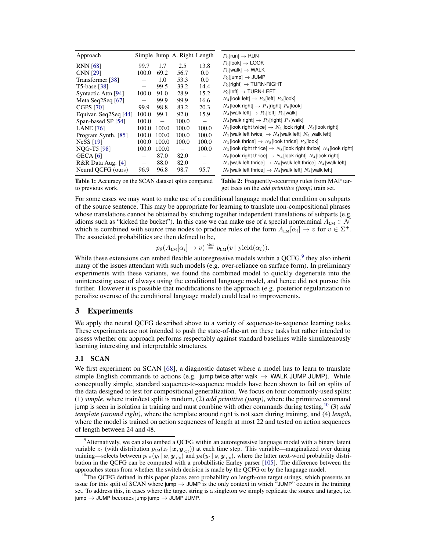<span id="page-4-2"></span>

| Approach              |                          |                   | Simple Jump A. Right Length |                   |
|-----------------------|--------------------------|-------------------|-----------------------------|-------------------|
| <b>RNN</b> [68]       | 99.7                     | 1.7               | 2.5                         | 13.8              |
| <b>CNN [29]</b>       | 100.0                    | 69.2              | 56.7                        | 0.0               |
| Transformer [38]      |                          | 1.0               | 53.3                        | 0.0               |
| <b>T5-base</b> [38]   | $\qquad \qquad -$        | 99.5              | 33.2                        | 14.4              |
| Syntactic Attn [94]   | 100.0                    | 91.0              | 28.9                        | 15.2              |
| Meta Seq2Seq [67]     | $\overline{\phantom{0}}$ | 99.9              | 99.9                        | 16.6              |
| <b>CGPS</b> [70]      | 99.9                     | 98.8              | 83.2                        | 20.3              |
| Equivar. Seq2Seq [44] | 100.0                    | 99.1              | 92.0                        | 15.9              |
| Span-based SP [54]    | 100.0                    | $\qquad \qquad -$ | 100.0                       |                   |
| <b>LANE</b> [76]      | 100.0                    | 100.0             | 100.0                       | 100.0             |
| Program Synth. [85]   | 100.0                    | 100.0             | 100.0                       | 100.0             |
| NeSS $[19]$           | 100.0                    | 100.0             | 100.0                       | 100.0             |
| NQG-T5 [98]           | 100.0                    | 100.0             | $\overline{\phantom{m}}$    | 100.0             |
| $GECA$ [6]            |                          | 87.0              | 82.0                        | $\qquad \qquad -$ |
| R&R Data Aug. [4]     | $\qquad \qquad -$        | 88.0              | 82.0                        | $\qquad \qquad -$ |
| Neural QCFG (ours)    | 96.9                     | 96.8              | 98.7                        | 95.7              |

Table 1: Accuracy on the SCAN dataset splits compared to previous work.

Table 2: Frequently-occurring rules from MAP target trees on the *add primitive (jump)* train set.

For some cases we may want to make use of a conditional language model that condition on subparts of the source sentence. This may be appropriate for learning to translate non-compositional phrases whose translations cannot be obtained by stitching together independent translations of subparts (e.g. idioms such as "kicked the bucket"). In this case we can make use of a special nonterminal  $A_{LM} \in \mathcal{N}$ which is combined with source tree nodes to produce rules of the form  $A_{LM}[\alpha_i] \to v$  for  $v \in \Sigma^+$ . The associated probabilities are then defined to be,

$$
p_{\theta}(A_{LM}[\alpha_i] \rightarrow v) \stackrel{\text{def}}{=} p_{LM}(v \mid \text{yield}(\alpha_i)).
$$

While these extensions can embed flexible autoregressive models within a  $QCFG<sup>9</sup>$  $QCFG<sup>9</sup>$  $QCFG<sup>9</sup>$ , they also inherit many of the issues attendant with such models (e.g. over-reliance on surface form). In preliminary experiments with these variants, we found the combined model to quickly degenerate into the uninteresting case of always using the conditional language model, and hence did not pursue this further. However it is possible that modifications to the approach (e.g. posterior regularization to penalize overuse of the conditional language model) could lead to improvements.

# 3 Experiments

We apply the neural QCFG described above to a variety of sequence-to-sequence learning tasks. These experiments are not intended to push the state-of-the-art on these tasks but rather intended to assess whether our approach performs respectably against standard baselines while simulatenously learning interesting and interpretable structures.

# 3.1 SCAN

We first experiment on SCAN [\[68\]](#page-12-1), a diagnostic dataset where a model has to learn to translate simple English commands to actions (e.g. jump twice after walk  $\rightarrow$  WALK JUMP JUMP). While conceptually simple, standard sequence-to-sequence models have been shown to fail on splits of the data designed to test for compositional generalization. We focus on four commonly-used splits: (1) *simple*, where train/test split is random, (2) *add primitive (jump)*, where the primitive command jump is seen in isolation in training and must combine with other commands during testing,[10](#page-4-1) (3) *add template (around right)*, where the template around right is not seen during training, and (4) *length*, where the model is trained on action sequences of length at most 22 and tested on action sequences of length between 24 and 48.

<span id="page-4-0"></span><sup>&</sup>lt;sup>9</sup>Alternatively, we can also embed a QCFG within an autoregressive language model with a binary latent variable  $z_t$  (with distribution  $p_{LM}(z_t | x, y_{< t})$ ) at each time step. This variable—marginalized over during training—selects between  $p_{LM}(y_t | \bm{x}, \bm{y}_{< t})$  and  $p_{\theta}(y_t | \bm{s}, \bm{y}_{< t})$ , where the latter next-word probability distribution in the QCFG can be computed with a probabilistic Earley parser [\[105\]](#page-14-15). The difference between the approaches stems from whether the switch decision is made by the QCFG or by the language model.

<span id="page-4-1"></span> $10$ The QCFG defined in this paper places zero probability on length-one target strings, which presents an issue for this split of SCAN where jump  $\rightarrow$  JUMP is the only context in which "JUMP" occurs in the training set. To address this, in cases where the target string is a singleton we simply replicate the source and target, i.e.  $\varphi$  jump  $\rightarrow$  JUMP becomes jump  $\varphi$  JUMP JUMP.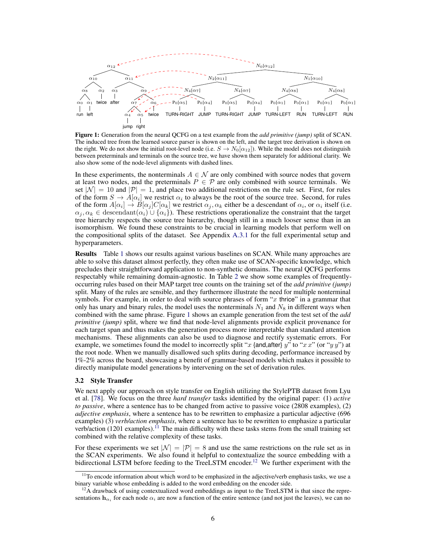<span id="page-5-1"></span>

Figure 1: Generation from the neural QCFG on a test example from the *add primitive (jump)* split of SCAN. The induced tree from the learned source parser is shown on the left, and the target tree derivation is shown on the right. We do not show the initial root-level node (i.e.  $S \to N_0[\alpha_{12}]$ ). While the model does not distinguish between preterminals and terminals on the source tree, we have shown them separately for additional clarity. We also show some of the node-level alignments with dashed lines.

In these experiments, the nonterminals  $A \in \mathcal{N}$  are only combined with source nodes that govern at least two nodes, and the preterminals  $P \in \mathcal{P}$  are only combined with source terminals. We set  $|\mathcal{N}| = 10$  and  $|\mathcal{P}| = 1$ , and place two additional restrictions on the rule set. First, for rules of the form  $S \to A[\alpha_i]$  we restrict  $\alpha_i$  to always be the root of the source tree. Second, for rules of the form  $A[\alpha_i] \to B[\alpha_j]C[\alpha_k]$  we restrict  $\alpha_j, \alpha_k$  either be a descendant of  $\alpha_i$ , or  $\alpha_i$  itself (i.e.  $\alpha_i, \alpha_k \in \text{descendant}(\alpha_i) \cup \{\alpha_i\}.$  These restrictions operationalize the constraint that the target tree hierarchy respects the source tree hierarchy, though still in a much looser sense than in an isomorphism. We found these constraints to be crucial in learning models that perform well on the compositional splits of the dataset. See Appendix A.3.1 for the full experimental setup and hyperparameters.

Results Table [1](#page-4-2) shows our results against various baselines on SCAN. While many approaches are able to solve this dataset almost perfectly, they often make use of SCAN-specific knowledge, which precludes their straightforward application to non-synthetic domains. The neural QCFG performs respectably while remaining domain-agnostic. In Table [2](#page-4-2) we show some examples of frequentlyoccurring rules based on their MAP target tree counts on the training set of the *add primitive (jump)* split. Many of the rules are sensible, and they furthermore illustrate the need for multiple nonterminal symbols. For example, in order to deal with source phrases of form " $x$  thrice" in a grammar that only has unary and binary rules, the model uses the nonterminals  $N_1$  and  $N_8$  in different ways when combined with the same phrase. Figure [1](#page-5-1) shows an example generation from the test set of the *add primitive (jump)* split, where we find that node-level alignments provide explicit provenance for each target span and thus makes the generation process more interpretable than standard attention mechanisms. These alignments can also be used to diagnose and rectify systematic errors. For example, we sometimes found the model to incorrectly split "x {and,after} y" to "x x" (or "y y") at the root node. When we manually disallowed such splits during decoding, performance increased by 1%-2% across the board, showcasing a benefit of grammar-based models which makes it possible to directly manipulate model generations by intervening on the set of derivation rules.

### <span id="page-5-0"></span>3.2 Style Transfer

We next apply our approach on style transfer on English utilizing the StylePTB dataset from Lyu et al. [\[78\]](#page-13-3). We focus on the three *hard transfer* tasks identified by the original paper: (1) *active to passive*, where a sentence has to be changed from active to passive voice (2808 examples), (2) *adjective emphasis*, where a sentence has to be rewritten to emphasize a particular adjective (696 examples) (3) *verb/action emphasis*, where a sentence has to be rewritten to emphasize a particular verb/action  $(1201$  examples).<sup>[11](#page-5-2)</sup> The main difficulty with these tasks stems from the small training set combined with the relative complexity of these tasks.

For these experiments we set  $|\mathcal{N}| = |\mathcal{P}| = 8$  and use the same restrictions on the rule set as in the SCAN experiments. We also found it helpful to contextualize the source embedding with a bidirectional LSTM before feeding to the TreeLSTM encoder.<sup>[12](#page-5-3)</sup> We further experiment with the

<span id="page-5-2"></span> $11$ To encode information about which word to be emphasized in the adjective/verb emphasis tasks, we use a binary variable whose embedding is added to the word embedding on the encoder side.

<span id="page-5-3"></span> $12A$  drawback of using contextualized word embeddings as input to the TreeLSTM is that since the representations  $h_{\alpha_i}$  for each node  $\alpha_i$  are now a function of the entire sentence (and not just the leaves), we can no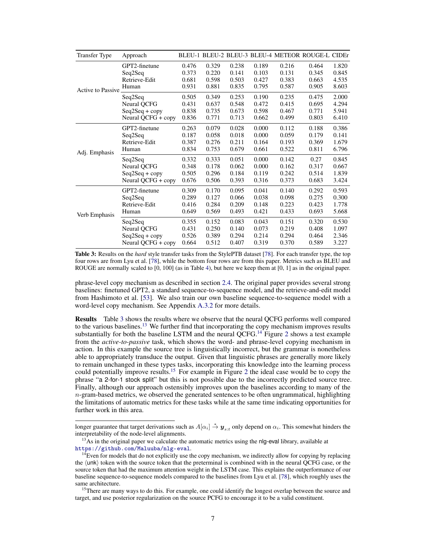<span id="page-6-0"></span>

| <b>Transfer Type</b>     | Approach           |       |       |       |       |       | BLEU-1 BLEU-2 BLEU-3 BLEU-4 METEOR ROUGE-L CIDEr |       |
|--------------------------|--------------------|-------|-------|-------|-------|-------|--------------------------------------------------|-------|
| <b>Active to Passive</b> | GPT2-finetune      | 0.476 | 0.329 | 0.238 | 0.189 | 0.216 | 0.464                                            | 1.820 |
|                          | Seq2Seq            | 0.373 | 0.220 | 0.141 | 0.103 | 0.131 | 0.345                                            | 0.845 |
|                          | Retrieve-Edit      | 0.681 | 0.598 | 0.503 | 0.427 | 0.383 | 0.663                                            | 4.535 |
|                          | Human              | 0.931 | 0.881 | 0.835 | 0.795 | 0.587 | 0.905                                            | 8.603 |
|                          | Seq2Seq            | 0.505 | 0.349 | 0.253 | 0.190 | 0.235 | 0.475                                            | 2.000 |
|                          | Neural QCFG        | 0.431 | 0.637 | 0.548 | 0.472 | 0.415 | 0.695                                            | 4.294 |
|                          | $Seq2Seq + copy$   | 0.838 | 0.735 | 0.673 | 0.598 | 0.467 | 0.771                                            | 5.941 |
|                          | Neural QCFG + copy | 0.836 | 0.771 | 0.713 | 0.662 | 0.499 | 0.803                                            | 6.410 |
| Adj. Emphasis            | GPT2-finetune      | 0.263 | 0.079 | 0.028 | 0.000 | 0.112 | 0.188                                            | 0.386 |
|                          | Seq2Seq            | 0.187 | 0.058 | 0.018 | 0.000 | 0.059 | 0.179                                            | 0.141 |
|                          | Retrieve-Edit      | 0.387 | 0.276 | 0.211 | 0.164 | 0.193 | 0.369                                            | 1.679 |
|                          | Human              | 0.834 | 0.753 | 0.679 | 0.661 | 0.522 | 0.811                                            | 6.796 |
|                          | Seq2Seq            | 0.332 | 0.333 | 0.051 | 0.000 | 0.142 | 0.27                                             | 0.845 |
|                          | Neural QCFG        | 0.348 | 0.178 | 0.062 | 0.000 | 0.162 | 0.317                                            | 0.667 |
|                          | $Seq2Seq + copy$   | 0.505 | 0.296 | 0.184 | 0.119 | 0.242 | 0.514                                            | 1.839 |
|                          | Neural QCFG + copy | 0.676 | 0.506 | 0.393 | 0.316 | 0.373 | 0.683                                            | 3.424 |
| Verb Emphasis            | GPT2-finetune      | 0.309 | 0.170 | 0.095 | 0.041 | 0.140 | 0.292                                            | 0.593 |
|                          | Seq2Seq            | 0.289 | 0.127 | 0.066 | 0.038 | 0.098 | 0.275                                            | 0.300 |
|                          | Retrieve-Edit      | 0.416 | 0.284 | 0.209 | 0.148 | 0.223 | 0.423                                            | 1.778 |
|                          | Human              | 0.649 | 0.569 | 0.493 | 0.421 | 0.433 | 0.693                                            | 5.668 |
|                          | Seq2Seq            | 0.355 | 0.152 | 0.083 | 0.043 | 0.151 | 0.320                                            | 0.530 |
|                          | Neural QCFG        | 0.431 | 0.250 | 0.140 | 0.073 | 0.219 | 0.408                                            | 1.097 |
|                          | $Seq2Seq + copy$   | 0.526 | 0.389 | 0.294 | 0.214 | 0.294 | 0.464                                            | 2.346 |
|                          | Neural QCFG + copy | 0.664 | 0.512 | 0.407 | 0.319 | 0.370 | 0.589                                            | 3.227 |

Table 3: Results on the *hard* style transfer tasks from the StylePTB dataset [\[78\]](#page-13-3). For each transfer type, the top four rows are from Lyu et al. [\[78\]](#page-13-3), while the bottom four rows are from this paper. Metrics such as BLEU and ROUGE are normally scaled to [0, 100] (as in Table [4\)](#page-7-0), but here we keep them at [0, 1] as in the original paper.

phrase-level copy mechanism as described in section [2.4.](#page-3-0) The original paper provides several strong baselines: finetuned GPT2, a standard sequence-to-sequence model, and the retrieve-and-edit model from Hashimoto et al. [\[53\]](#page-12-10). We also train our own baseline sequence-to-sequence model with a word-level copy mechanism. See Appendix A.3.2 for more details.

Results Table [3](#page-6-0) shows the results where we observe that the neural QCFG performs well compared to the various baselines.<sup>[13](#page-6-1)</sup> We further find that incorporating the copy mechanism improves results substantially for both the baseline LSTM and the neural  $\widetilde{Q}$ CFG.<sup>[14](#page-6-2)</sup> Figure [2](#page-7-1) shows a test example from the *active-to-passive* task, which shows the word- and phrase-level copying mechanism in action. In this example the source tree is linguistically incorrect, but the grammar is nonetheless able to appropriately transduce the output. Given that linguistic phrases are generally more likely to remain unchanged in these types tasks, incorporating this knowledge into the learning process could potentially improve results.<sup>[15](#page-6-3)</sup> For example in Figure [2](#page-7-1) the ideal case would be to copy the phrase "a 2-for-1 stock split" but this is not possible due to the incorrectly predicted source tree. Finally, although our approach ostensibly improves upon the baselines according to many of the  $n$ -gram-based metrics, we observed the generated sentences to be often ungrammatical, highlighting the limitations of automatic metrics for these tasks while at the same time indicating opportunities for further work in this area.

longer guarantee that target derivations such as  $A[\alpha_i] \stackrel{*}{\to} y_{s:t}$  only depend on  $\alpha_i$ . This somewhat hinders the interpretability of the node-level alignments.

<span id="page-6-1"></span> $<sup>13</sup>$ As in the original paper we calculate the automatic metrics using the nlg-eval library, available at</sup> <https://github.com/Maluuba/nlg-eval>.

<span id="page-6-2"></span> $14$ Even for models that do not explicitly use the copy mechanism, we indirectly allow for copying by replacing the  $\langle$ unk $\rangle$  token with the source token that the preterminal is combined with in the neural QCFG case, or the source token that had the maximum attention weight in the LSTM case. This explains the outperformance of our baseline sequence-to-sequence models compared to the baselines from Lyu et al. [\[78\]](#page-13-3), which roughly uses the same architecture.

<span id="page-6-3"></span><sup>&</sup>lt;sup>15</sup>There are many ways to do this. For example, one could identify the longest overlap between the source and target, and use posterior regularization on the source PCFG to encourage it to be a valid constituent.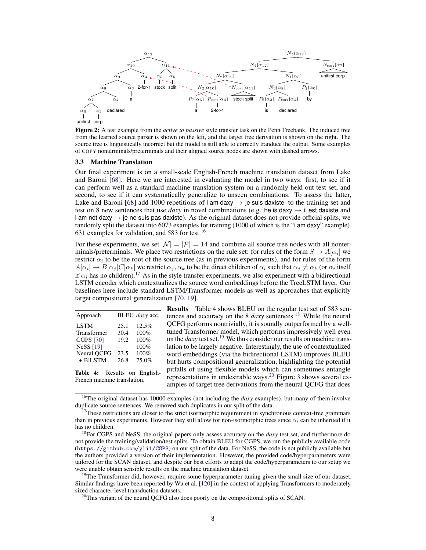<span id="page-7-1"></span>

Figure 2: A test example from the *active to passive* style transfer task on the Penn Treebank. The induced tree from the learned source parser is shown on the left, and the target tree derivation is shown on the right. The source tree is linguistically incorrect but the model is still able to correctly tranduce the output. Some examples of COPY nonterminals/preterminals and their aligned source nodes are shown with dashed arrows.

#### 3.3 Machine Translation

Our final experiment is on a small-scale English-French machine translation dataset from Lake and Baroni [\[68\]](#page-12-1). Here we are interested in evaluating the model in two ways: first, to see if it can perform well as a standard machine translation system on a randomly held out test set, and second, to see if it can systematically generalize to unseen combinations. To assess the latter, Lake and Baroni [\[68\]](#page-12-1) add 1000 repetitions of i am daxy  $\rightarrow$  je suis daxiste to the training set and test on 8 new sentences that use *daxy* in novel combinations (e.g. he is daxy  $\rightarrow$  il est daxiste and i am not daxy  $\rightarrow$  je ne suis pas daxiste). As the original dataset does not provide official splits, we randomly split the dataset into 6073 examples for training (1000 of which is the "i am daxy" example), 631 examples for validation, and 583 for test.<sup>[16](#page-7-2)</sup>

For these experiments, we set  $|\mathcal{N}| = |\mathcal{P}| = 14$  and combine all source tree nodes with all nonterminals/preterminals. We place two restrictions on the rule set: for rules of the form  $S \to A[\alpha_i]$  we restrict  $\alpha_i$  to be the root of the source tree (as in previous experiments), and for rules of the form  $A[\alpha_i] \to B[\alpha_j]C[\alpha_k]$  we restrict  $\alpha_j, \alpha_k$  to be the direct children of  $\alpha_i$  such that  $\alpha_j \neq \alpha_k$  (or  $\alpha_i$  itself if  $\alpha_i$  has no children).<sup>[17](#page-7-3)</sup> As in the style transfer experiments, we also experiment with a bidirectional LSTM encoder which contextualizes the source word embeddings before the TreeLSTM layer. Our baselines here include standard LSTM/Transformer models as well as approaches that explicitly target compositional generalization [\[70,](#page-13-10) [19\]](#page-10-11).

<span id="page-7-0"></span>

|      | BLEU daxy acc. |  |  |
|------|----------------|--|--|
| 25.1 | 12.5%          |  |  |
| 30.4 | 100%           |  |  |
| 19.2 | 100%           |  |  |
|      | 100%           |  |  |
| 23.5 | 100%           |  |  |
| 26.8 | 75.0%          |  |  |
|      |                |  |  |

Table 4: Results on English-French machine translation.

Results Table [4](#page-7-0) shows BLEU on the regular test set of 583 sentences and accuracy on the 8 *daxy* sentences.<sup>[18](#page-7-4)</sup> While the neural QCFG performs nontrivially, it is soundly outperformed by a welltuned Transformer model, which performs impressively well even on the *daxy* test set.[19](#page-7-5) We thus consider our results on machine translation to be largely negative. Interestingly, the use of contextualized word embeddings (via the bidirectional LSTM) improves BLEU but hurts compositional generalization, highlighting the potential pitfalls of using flexible models which can sometimes entangle representations in undesirable ways.<sup>[20](#page-7-6)</sup> Figure [3](#page-8-0) shows several examples of target tree derivations from the neural QCFG that does

<span id="page-7-2"></span><sup>&</sup>lt;sup>16</sup>The original dataset has 10000 examples (not including the *daxy* examples), but many of them involve duplicate source sentences. We removed such duplicates in our split of the data.

<span id="page-7-3"></span> $17$ These restrictions are closer to the strict isormorphic requirement in synchronous context-free grammars than in previous experiments. However they still allow for non-isormorphic trees since  $\alpha_i$  can be inherited if it has no children.

<span id="page-7-4"></span><sup>18</sup>For CGPS and NeSS, the original papers only assess accuracy on the *daxy* test set, and furthermore do not provide the training/validation/test splits. To obtain BLEU for CGPS, we run the publicly available code (<https://github.com/yli1/CGPS>) on our split of the data. For NeSS, the code is not publicly available but the authors provided a version of their implementation. However, the provided code/hyperparameters were tailored for the SCAN dataset, and despite our best efforts to adapt the code/hyperparameters to our setup we were unable obtain sensible results on the machine translation dataset.

<span id="page-7-5"></span> $19$ The Transformer did, however, require some hyperparameter tuning given the small size of our dataset. Similar findings have been reported by Wu et al. [\[120\]](#page-15-8) in the context of applying Transformers to moderately sized character-level transduction datasets.

<span id="page-7-6"></span><sup>&</sup>lt;sup>20</sup>This variant of the neural QCFG also does poorly on the compositional splits of SCAN.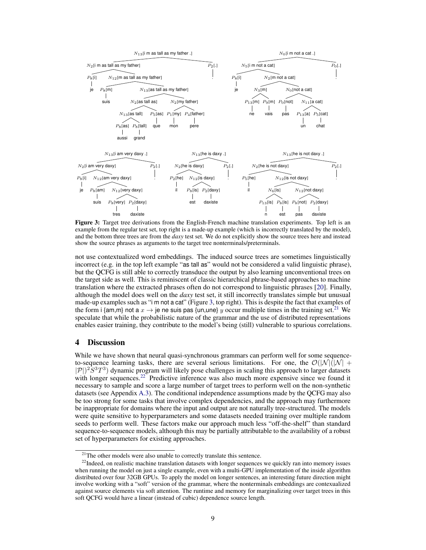<span id="page-8-0"></span>

Figure 3: Target tree derivations from the English-French machine translation experiments. Top left is an example from the regular test set, top right is a [made-up example](https://www.youtube.com/watch?v=lGOofzZOyl8) (which is incorrectly translated by the model), and the bottom three trees are from the *daxy* test set. We do not explicitly show the source trees here and instead show the source phrases as arguments to the target tree nonterminals/preterminals.

not use contextualized word embeddings. The induced source trees are sometimes linguistically incorrect (e.g. in the top left example "as tall as" would not be considered a valid linguistic phrase), but the QCFG is still able to correctly transduce the output by also learning unconventional trees on the target side as well. This is reminiscent of classic hierarchical phrase-based approaches to machine translation where the extracted phrases often do not correspond to linguistic phrases [\[20\]](#page-10-5). Finally, although the model does well on the *daxy* test set, it still incorrectly translates simple but unusual made-up examples such as "[i m not a cat](https://www.youtube.com/watch?v=lGOofzZOyl8)" (Figure [3,](#page-8-0) top right). This is despite the fact that examples of the form i {am,m} not a  $x \to$  je ne suis pas {un,une} y occur multiple times in the training set.<sup>[21](#page-8-1)</sup> We speculate that while the probabilistic nature of the grammar and the use of distributed representations enables easier training, they contribute to the model's being (still) vulnerable to spurious correlations.

# 4 Discussion

While we have shown that neural quasi-synchronous grammars can perform well for some sequenceto-sequence learning tasks, there are several serious limitations. For one, the  $O(|N|(|N| +$  $|\mathcal{P}|^2 S^3 T^3$ ) dynamic program will likely pose challenges in scaling this approach to larger datasets with longer sequences.<sup>[22](#page-8-2)</sup> Predictive inference was also much more expensive since we found it necessary to sample and score a large number of target trees to perform well on the non-synthetic datasets (see Appendix A.3). The conditional independence assumptions made by the QCFG may also be too strong for some tasks that involve complex dependencies, and the approach may furthermore be inappropriate for domains where the input and output are not naturally tree-structured. The models were quite sensitive to hyperparameters and some datasets needed training over multiple random seeds to perform well. These factors make our approach much less "off-the-shelf" than standard sequence-to-sequence models, although this may be partially attributable to the availability of a robust set of hyperparameters for existing approaches.

<span id="page-8-2"></span><span id="page-8-1"></span> $21$ The other models were also unable to correctly translate this sentence.

<sup>&</sup>lt;sup>22</sup>Indeed, on realistic machine translation datasets with longer sequences we quickly ran into memory issues when running the model on just a single example, even with a multi-GPU implementation of the inside algorithm distributed over four 32GB GPUs. To apply the model on longer sentences, an interesting future direction might involve working with a "soft" version of the grammar, where the nonterminals embeddings are contexualized against source elements via soft attention. The runtime and memory for marginalizing over target trees in this soft QCFG would have a linear (instead of cubic) dependence source length.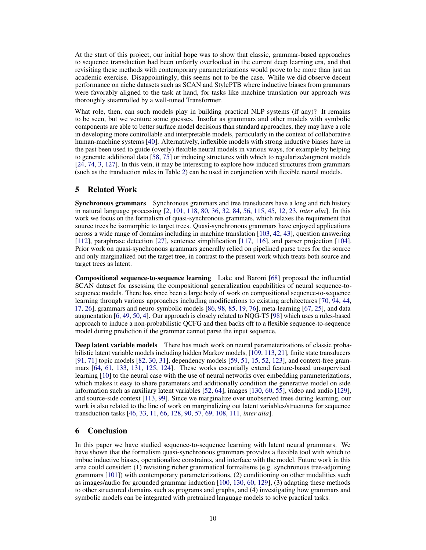At the start of this project, our initial hope was to show that classic, grammar-based approaches to sequence transduction had been unfairly overlooked in the current deep learning era, and that revisiting these methods with contemporary parameterizations would prove to be more than just an academic exercise. [Disappointingly,](http://www.incompleteideas.net/IncIdeas/BitterLesson.html) this seems not to be the case. While we did observe decent performance on niche datasets such as SCAN and StylePTB where inductive biases from grammars were favorably aligned to the task at hand, for tasks like machine translation our approach was thoroughly steamrolled by a well-tuned Transformer.

What role, then, can such models play in building practical NLP systems (if any)? It remains to be seen, but we venture some guesses. Insofar as grammars and other models with symbolic components are able to better surface model decisions than standard approaches, they may have a role in developing more controllable and interpretable models, particularly in the context of collaborative human-machine systems [\[40\]](#page-11-11). Alternatively, inflexible models with strong inductive biases have in the past been used to guide (overly) flexible neural models in various ways, for example by helping to generate additional data [\[58,](#page-12-5) [75\]](#page-13-13) or inducing structures with which to regularize/augment models [\[24,](#page-11-12) [74,](#page-13-14) [3,](#page-10-10) [127\]](#page-15-9). In this vein, it may be interesting to explore how induced structures from grammars (such as the tranduction rules in Table [2\)](#page-4-2) can be used in conjunction with flexible neural models.

## 5 Related Work

Synchronous grammars Synchronous grammars and tree transducers have a long and rich history in natural language processing [\[2,](#page-10-14) [101,](#page-14-5) [118,](#page-15-3) [80,](#page-13-15) [36,](#page-11-13) [32,](#page-11-14) [84,](#page-13-16) [56,](#page-12-3) [115,](#page-15-1) [45,](#page-11-15) [12,](#page-10-15) [23,](#page-11-16) *inter alia*]. In this work we focus on the formalism of quasi-synchronous grammars, which relaxes the requirement that source trees be isomorphic to target trees. Quasi-synchronous grammars have enjoyed applications across a wide range of domains including in machine translation [\[103,](#page-14-2) [42,](#page-11-5) [43\]](#page-11-17), question answering [\[112\]](#page-14-4), paraphrase detection [\[27\]](#page-11-4), sentence simplification [\[117,](#page-15-10) [116\]](#page-15-11), and parser projection [\[104\]](#page-14-16). Prior work on quasi-synchronous grammars generally relied on pipelined parse trees for the source and only marginalized out the target tree, in contrast to the present work which treats both source and target trees as latent.

Compositional sequence-to-sequence learning Lake and Baroni [\[68\]](#page-12-1) proposed the influential SCAN dataset for assessing the compositional generalization capabilities of neural sequence-tosequence models. There has since been a large body of work on compositional sequence-to-sequence learning through various approaches including modifications to existing architectures [\[70,](#page-13-10) [94,](#page-14-13) [44,](#page-11-10) [17,](#page-10-16) [26\]](#page-11-18), grammars and neuro-symbolic models [\[86,](#page-13-17) [98,](#page-14-14) [85,](#page-13-12) [19,](#page-10-11) [76\]](#page-13-11), meta-learning [\[67,](#page-12-8) [25\]](#page-11-19), and data augmentation [\[6,](#page-10-12) [49,](#page-12-11) [50,](#page-12-12) [4\]](#page-10-13). Our approach is closely related to NQG-T5 [\[98\]](#page-14-14) which uses a rules-based approach to induce a non-probabilistic QCFG and then backs off to a flexible sequence-to-sequence model during prediction if the grammar cannot parse the input sequence.

Deep latent variable models There has much work on neural parameterizations of classic probabilistic latent variable models including hidden Markov models, [\[109,](#page-14-17) [113,](#page-14-18) [21\]](#page-10-17), finite state transducers [\[91,](#page-13-18) [71\]](#page-13-19) topic models [\[82,](#page-13-20) [30,](#page-11-20) [31\]](#page-11-21), dependency models [\[59,](#page-12-13) [51,](#page-12-14) [15,](#page-10-18) [52,](#page-12-15) [123\]](#page-15-12), and context-free grammars [\[64,](#page-12-4) [61,](#page-12-16) [133,](#page-15-13) [131,](#page-15-14) [125,](#page-15-15) [124\]](#page-15-16). These works essentially extend feature-based unsupervised learning [\[10\]](#page-10-19) to the neural case with the use of neural networks over embedding parameterizations, which makes it easy to share parameters and additionally condition the generative model on side information such as auxiliary latent variables [\[52,](#page-12-15) [64\]](#page-12-4), images [\[130,](#page-15-17) [60,](#page-12-17) [55\]](#page-12-18), video and audio [\[129\]](#page-15-18), and source-side context [\[113,](#page-14-18) [99\]](#page-14-19). Since we marginalize over unobserved trees during learning, our work is also related to the line of work on marginalizing out latent variables/structures for sequence transduction tasks [\[46,](#page-12-19) [33,](#page-11-22) [11,](#page-10-20) [66,](#page-12-20) [128,](#page-15-19) [90,](#page-13-21) [57,](#page-12-21) [69,](#page-13-22) [108,](#page-14-20) [111,](#page-14-21) *inter alia*].

# 6 Conclusion

In this paper we have studied sequence-to-sequence learning with latent neural grammars. We have shown that the formalism quasi-synchronous grammars provides a flexible tool with which to imbue inductive biases, operationalize constraints, and interface with the model. Future work in this area could consider: (1) revisiting richer grammatical formalisms (e.g. synchronous tree-adjoining grammars [\[101\]](#page-14-5)) with contemporary parameterizations, (2) conditioning on other modalities such as images/audio for grounded grammar induction [\[100,](#page-14-22) [130,](#page-15-17) [60,](#page-12-17) [129\]](#page-15-18), (3) adapting these methods to other structured domains such as programs and graphs, and (4) investigating how grammars and symbolic models can be integrated with pretrained language models to solve practical tasks.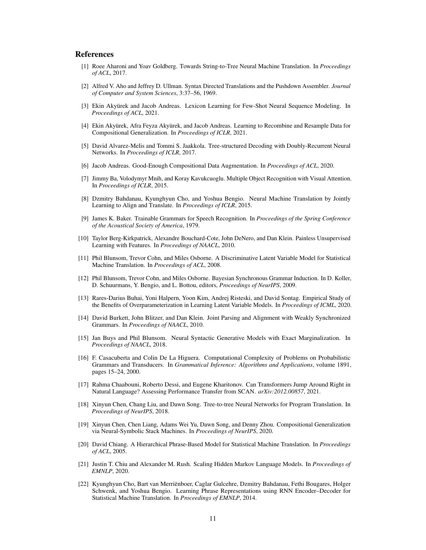## References

- <span id="page-10-3"></span>[1] Roee Aharoni and Yoav Goldberg. Towards String-to-Tree Neural Machine Translation. In *Proceedings of ACL*, 2017.
- <span id="page-10-14"></span>[2] Alfred V. Aho and Jeffrey D. Ullman. Syntax Directed Translations and the Pushdown Assembler. *Journal of Computer and System Sciences*, 3:37–56, 1969.
- <span id="page-10-10"></span>[3] Ekin Akyürek and Jacob Andreas. Lexicon Learning for Few-Shot Neural Sequence Modeling. In *Proceedings of ACL*, 2021.
- <span id="page-10-13"></span>[4] Ekin Akyürek, Afra Feyza Akyürek, and Jacob Andreas. Learning to Recombine and Resample Data for Compositional Generalization. In *Proceedings of ICLR*, 2021.
- <span id="page-10-2"></span>[5] David Alvarez-Melis and Tommi S. Jaakkola. Tree-structured Decoding with Doubly-Recurrent Neural Networks. In *Proceedings of ICLR*, 2017.
- <span id="page-10-12"></span>[6] Jacob Andreas. Good-Enough Compositional Data Augmentation. In *Proceedings of ACL*, 2020.
- <span id="page-10-7"></span>[7] Jimmy Ba, Volodymyr Mnih, and Koray Kavukcuoglu. Multiple Object Recognition with Visual Attention. In *Proceedings of ICLR*, 2015.
- <span id="page-10-1"></span>[8] Dzmitry Bahdanau, Kyunghyun Cho, and Yoshua Bengio. Neural Machine Translation by Jointly Learning to Align and Translate. In *Proceedings of ICLR*, 2015.
- <span id="page-10-8"></span>[9] James K. Baker. Trainable Grammars for Speech Recognition. In *Proceedings of the Spring Conference of the Acoustical Society of America*, 1979.
- <span id="page-10-19"></span>[10] Taylor Berg-Kirkpatrick, Alexandre Bouchard-Cote, John DeNero, and Dan Klein. Painless Unsupervised Learning with Features. In *Proceedings of NAACL*, 2010.
- <span id="page-10-20"></span>[11] Phil Blunsom, Trevor Cohn, and Miles Osborne. A Discriminative Latent Variable Model for Statistical Machine Translation. In *Proceedings of ACL*, 2008.
- <span id="page-10-15"></span>[12] Phil Blunsom, Trevor Cohn, and Miles Osborne. Bayesian Synchronous Grammar Induction. In D. Koller, D. Schuurmans, Y. Bengio, and L. Bottou, editors, *Proceedings of NeurIPS*, 2009.
- [13] Rares-Darius Buhai, Yoni Halpern, Yoon Kim, Andrej Risteski, and David Sontag. Empirical Study of the Benefits of Overparameterization in Learning Latent Variable Models. In *Proceedings of ICML*, 2020.
- <span id="page-10-6"></span>[14] David Burkett, John Blitzer, and Dan Klein. Joint Parsing and Alignment with Weakly Synchronized Grammars. In *Proceedings of NAACL*, 2010.
- <span id="page-10-18"></span>[15] Jan Buys and Phil Blunsom. Neural Syntactic Generative Models with Exact Marginalization. In *Proceedings of NAACL*, 2018.
- <span id="page-10-9"></span>[16] F. Casacuberta and Colin De La Higuera. Computational Complexity of Problems on Probabilistic Grammars and Transducers. In *Grammatical Inference: Algorithms and Applications*, volume 1891, pages 15–24, 2000.
- <span id="page-10-16"></span>[17] Rahma Chaabouni, Roberto Dessi, and Eugene Kharitonov. Can Transformers Jump Around Right in Natural Language? Assessing Performance Transfer from SCAN. *arXiv:2012.00857*, 2021.
- <span id="page-10-4"></span>[18] Xinyun Chen, Chang Liu, and Dawn Song. Tree-to-tree Neural Networks for Program Translation. In *Proceedings of NeurIPS*, 2018.
- <span id="page-10-11"></span>[19] Xinyun Chen, Chen Liang, Adams Wei Yu, Dawn Song, and Denny Zhou. Compositional Generalization via Neural-Symbolic Stack Machines. In *Proceedings of NeurIPS*, 2020.
- <span id="page-10-5"></span>[20] David Chiang. A Hierarchical Phrase-Based Model for Statistical Machine Translation. In *Proceedings of ACL*, 2005.
- <span id="page-10-17"></span>[21] Justin T. Chiu and Alexander M. Rush. Scaling Hidden Markov Language Models. In *Proceedings of EMNLP*, 2020.
- <span id="page-10-0"></span>[22] Kyunghyun Cho, Bart van Merriënboer, Caglar Gulcehre, Dzmitry Bahdanau, Fethi Bougares, Holger Schwenk, and Yoshua Bengio. Learning Phrase Representations using RNN Encoder–Decoder for Statistical Machine Translation. In *Proceedings of EMNLP*, 2014.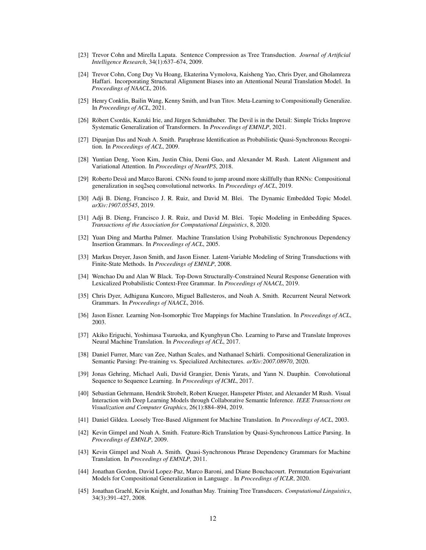- <span id="page-11-16"></span>[23] Trevor Cohn and Mirella Lapata. Sentence Compression as Tree Transduction. *Journal of Artificial Intelligence Research*, 34(1):637–674, 2009.
- <span id="page-11-12"></span>[24] Trevor Cohn, Cong Duy Vu Hoang, Ekaterina Vymolova, Kaisheng Yao, Chris Dyer, and Gholamreza Haffari. Incorporating Structural Alignment Biases into an Attentional Neural Translation Model. In *Proceedings of NAACL*, 2016.
- <span id="page-11-19"></span>[25] Henry Conklin, Bailin Wang, Kenny Smith, and Ivan Titov. Meta-Learning to Compositionally Generalize. In *Proceedings of ACL*, 2021.
- <span id="page-11-18"></span>[26] Róbert Csordás, Kazuki Irie, and Jürgen Schmidhuber. The Devil is in the Detail: Simple Tricks Improve Systematic Generalization of Transformers. In *Proceedings of EMNLP*, 2021.
- <span id="page-11-4"></span>[27] Dipanjan Das and Noah A. Smith. Paraphrase Identification as Probabilistic Quasi-Synchronous Recognition. In *Proceedings of ACL*, 2009.
- <span id="page-11-7"></span>[28] Yuntian Deng, Yoon Kim, Justin Chiu, Demi Guo, and Alexander M. Rush. Latent Alignment and Variational Attention. In *Proceedings of NeurIPS*, 2018.
- <span id="page-11-8"></span>[29] Roberto Dessì and Marco Baroni. CNNs found to jump around more skillfully than RNNs: Compositional generalization in seq2seq convolutional networks. In *Proceedings of ACL*, 2019.
- <span id="page-11-20"></span>[30] Adji B. Dieng, Francisco J. R. Ruiz, and David M. Blei. The Dynamic Embedded Topic Model. *arXiv:1907.05545*, 2019.
- <span id="page-11-21"></span>[31] Adji B. Dieng, Francisco J. R. Ruiz, and David M. Blei. Topic Modeling in Embedding Spaces. *Transactions of the Association for Computational Linguistics*, 8, 2020.
- <span id="page-11-14"></span>[32] Yuan Ding and Martha Palmer. Machine Translation Using Probabilistic Synchronous Dependency Insertion Grammars. In *Proceedings of ACL*, 2005.
- <span id="page-11-22"></span>[33] Markus Dreyer, Jason Smith, and Jason Eisner. Latent-Variable Modeling of String Transductions with Finite-State Methods. In *Proceedings of EMNLP*, 2008.
- <span id="page-11-3"></span>[34] Wenchao Du and Alan W Black. Top-Down Structurally-Constrained Neural Response Generation with Lexicalized Probabilistic Context-Free Grammar. In *Proceedings of NAACL*, 2019.
- <span id="page-11-1"></span>[35] Chris Dyer, Adhiguna Kuncoro, Miguel Ballesteros, and Noah A. Smith. Recurrent Neural Network Grammars. In *Proceedings of NAACL*, 2016.
- <span id="page-11-13"></span>[36] Jason Eisner. Learning Non-Isomorphic Tree Mappings for Machine Translation. In *Proceedings of ACL*, 2003.
- <span id="page-11-2"></span>[37] Akiko Eriguchi, Yoshimasa Tsuruoka, and Kyunghyun Cho. Learning to Parse and Translate Improves Neural Machine Translation. In *Proceedings of ACL*, 2017.
- <span id="page-11-9"></span>[38] Daniel Furrer, Marc van Zee, Nathan Scales, and Nathanael Schärli. Compositional Generalization in Semantic Parsing: Pre-training vs. Specialized Architectures. *arXiv:2007.08970*, 2020.
- <span id="page-11-0"></span>[39] Jonas Gehring, Michael Auli, David Grangier, Denis Yarats, and Yann N. Dauphin. Convolutional Sequence to Sequence Learning. In *Proceedings of ICML*, 2017.
- <span id="page-11-11"></span>[40] Sebastian Gehrmann, Hendrik Strobelt, Robert Krueger, Hanspeter Pfister, and Alexander M Rush. Visual Interaction with Deep Learning Models through Collaborative Semantic Inference. *IEEE Transactions on Visualization and Computer Graphics*, 26(1):884–894, 2019.
- <span id="page-11-6"></span>[41] Daniel Gildea. Loosely Tree-Based Alignment for Machine Translation. In *Proceedings of ACL*, 2003.
- <span id="page-11-5"></span>[42] Kevin Gimpel and Noah A. Smith. Feature-Rich Translation by Quasi-Synchronous Lattice Parsing. In *Proceedings of EMNLP*, 2009.
- <span id="page-11-17"></span>[43] Kevin Gimpel and Noah A. Smith. Quasi-Synchronous Phrase Dependency Grammars for Machine Translation. In *Proceedings of EMNLP*, 2011.
- <span id="page-11-10"></span>[44] Jonathan Gordon, David Lopez-Paz, Marco Baroni, and Diane Bouchacourt. Permutation Equivariant Models for Compositional Generalization in Language . In *Proceedings of ICLR*, 2020.
- <span id="page-11-15"></span>[45] Jonathan Graehl, Kevin Knight, and Jonathan May. Training Tree Transducers. *Computational Linguistics*, 34(3):391–427, 2008.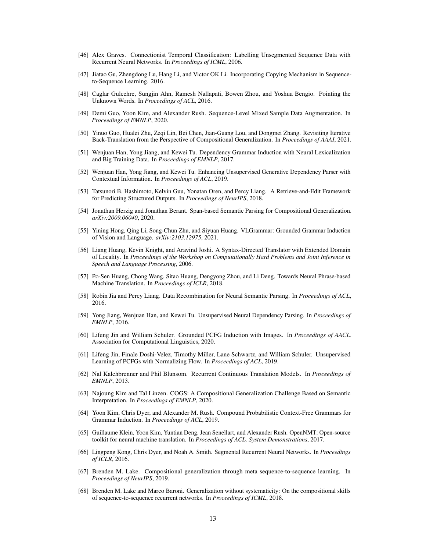- <span id="page-12-19"></span>[46] Alex Graves. Connectionist Temporal Classification: Labelling Unsegmented Sequence Data with Recurrent Neural Networks. In *Proceedings of ICML*, 2006.
- <span id="page-12-7"></span>[47] Jiatao Gu, Zhengdong Lu, Hang Li, and Victor OK Li. Incorporating Copying Mechanism in Sequenceto-Sequence Learning. 2016.
- <span id="page-12-6"></span>[48] Caglar Gulcehre, Sungjin Ahn, Ramesh Nallapati, Bowen Zhou, and Yoshua Bengio. Pointing the Unknown Words. In *Proceedings of ACL*, 2016.
- <span id="page-12-11"></span>[49] Demi Guo, Yoon Kim, and Alexander Rush. Sequence-Level Mixed Sample Data Augmentation. In *Proceedings of EMNLP*, 2020.
- <span id="page-12-12"></span>[50] Yinuo Guo, Hualei Zhu, Zeqi Lin, Bei Chen, Jian-Guang Lou, and Dongmei Zhang. Revisiting Iterative Back-Translation from the Perspective of Compositional Generalization. In *Proceedings of AAAI*, 2021.
- <span id="page-12-14"></span>[51] Wenjuan Han, Yong Jiang, and Kewei Tu. Dependency Grammar Induction with Neural Lexicalization and Big Training Data. In *Proceedings of EMNLP*, 2017.
- <span id="page-12-15"></span>[52] Wenjuan Han, Yong Jiang, and Kewei Tu. Enhancing Unsupervised Generative Dependency Parser with Contextual Information. In *Proceedings of ACL*, 2019.
- <span id="page-12-10"></span>[53] Tatsunori B. Hashimoto, Kelvin Guu, Yonatan Oren, and Percy Liang. A Retrieve-and-Edit Framework for Predicting Structured Outputs. In *Proceedings of NeurIPS*, 2018.
- <span id="page-12-9"></span>[54] Jonathan Herzig and Jonathan Berant. Span-based Semantic Parsing for Compositional Generalization. *arXiv:2009.06040*, 2020.
- <span id="page-12-18"></span>[55] Yining Hong, Qing Li, Song-Chun Zhu, and Siyuan Huang. VLGrammar: Grounded Grammar Induction of Vision and Language. *arXiv:2103.12975*, 2021.
- <span id="page-12-3"></span>[56] Liang Huang, Kevin Knight, and Aravind Joshi. A Syntax-Directed Translator with Extended Domain of Locality. In *Proceedings of the Workshop on Computationally Hard Problems and Joint Inference in Speech and Language Processing*, 2006.
- <span id="page-12-21"></span>[57] Po-Sen Huang, Chong Wang, Sitao Huang, Dengyong Zhou, and Li Deng. Towards Neural Phrase-based Machine Translation. In *Proceedings of ICLR*, 2018.
- <span id="page-12-5"></span>[58] Robin Jia and Percy Liang. Data Recombination for Neural Semantic Parsing. In *Proceedings of ACL*, 2016.
- <span id="page-12-13"></span>[59] Yong Jiang, Wenjuan Han, and Kewei Tu. Unsupervised Neural Dependency Parsing. In *Proceedings of EMNLP*, 2016.
- <span id="page-12-17"></span>[60] Lifeng Jin and William Schuler. Grounded PCFG Induction with Images. In *Proceedings of AACL*. Association for Computational Linguistics, 2020.
- <span id="page-12-16"></span>[61] Lifeng Jin, Finale Doshi-Velez, Timothy Miller, Lane Schwartz, and William Schuler. Unsupervised Learning of PCFGs with Normalizing Flow. In *Proceedings of ACL*, 2019.
- <span id="page-12-0"></span>[62] Nal Kalchbrenner and Phil Blunsom. Recurrent Continuous Translation Models. In *Proceedings of EMNLP*, 2013.
- <span id="page-12-2"></span>[63] Najoung Kim and Tal Linzen. COGS: A Compositional Generalization Challenge Based on Semantic Interpretation. In *Proceedings of EMNLP*, 2020.
- <span id="page-12-4"></span>[64] Yoon Kim, Chris Dyer, and Alexander M. Rush. Compound Probabilistic Context-Free Grammars for Grammar Induction. In *Proceedings of ACL*, 2019.
- [65] Guillaume Klein, Yoon Kim, Yuntian Deng, Jean Senellart, and Alexander Rush. OpenNMT: Open-source toolkit for neural machine translation. In *Proceedings of ACL, System Demonstrations*, 2017.
- <span id="page-12-20"></span>[66] Lingpeng Kong, Chris Dyer, and Noah A. Smith. Segmental Recurrent Neural Networks. In *Proceedings of ICLR*, 2016.
- <span id="page-12-8"></span>[67] Brenden M. Lake. Compositional generalization through meta sequence-to-sequence learning. In *Proceedings of NeurIPS*, 2019.
- <span id="page-12-1"></span>[68] Brenden M. Lake and Marco Baroni. Generalization without systematicity: On the compositional skills of sequence-to-sequence recurrent networks. In *Proceedings of ICML*, 2018.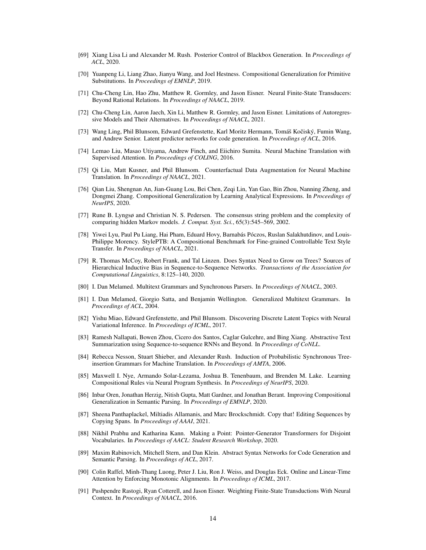- <span id="page-13-22"></span>[69] Xiang Lisa Li and Alexander M. Rush. Posterior Control of Blackbox Generation. In *Proceedings of ACL*, 2020.
- <span id="page-13-10"></span>[70] Yuanpeng Li, Liang Zhao, Jianyu Wang, and Joel Hestness. Compositional Generalization for Primitive Substitutions. In *Proceedings of EMNLP*, 2019.
- <span id="page-13-19"></span>[71] Chu-Cheng Lin, Hao Zhu, Matthew R. Gormley, and Jason Eisner. Neural Finite-State Transducers: Beyond Rational Relations. In *Proceedings of NAACL*, 2019.
- <span id="page-13-1"></span>[72] Chu-Cheng Lin, Aaron Jaech, Xin Li, Matthew R. Gormley, and Jason Eisner. Limitations of Autoregressive Models and Their Alternatives. In *Proceedings of NAACL*, 2021.
- <span id="page-13-7"></span>[73] Wang Ling, Phil Blunsom, Edward Grefenstette, Karl Moritz Hermann, Tomáš Kočiský, Fumin Wang, and Andrew Senior. Latent predictor networks for code generation. In *Proceedings of ACL*, 2016.
- <span id="page-13-14"></span>[74] Lemao Liu, Masao Utiyama, Andrew Finch, and Eiichiro Sumita. Neural Machine Translation with Supervised Attention. In *Proceedings of COLING*, 2016.
- <span id="page-13-13"></span>[75] Qi Liu, Matt Kusner, and Phil Blunsom. Counterfactual Data Augmentation for Neural Machine Translation. In *Proceedings of NAACL*, 2021.
- <span id="page-13-11"></span>[76] Qian Liu, Shengnan An, Jian-Guang Lou, Bei Chen, Zeqi Lin, Yan Gao, Bin Zhou, Nanning Zheng, and Dongmei Zhang. Compositional Generalization by Learning Analytical Expressions. In *Proceedings of NeurIPS*, 2020.
- <span id="page-13-5"></span>[77] Rune B. Lyngsø and Christian N. S. Pedersen. The consensus string problem and the complexity of comparing hidden Markov models. *J. Comput. Syst. Sci.*, 65(3):545–569, 2002.
- <span id="page-13-3"></span>[78] Yiwei Lyu, Paul Pu Liang, Hai Pham, Eduard Hovy, Barnabás Póczos, Ruslan Salakhutdinov, and Louis-Philippe Morency. StylePTB: A Compositional Benchmark for Fine-grained Controllable Text Style Transfer. In *Proceedings of NAACL*, 2021.
- <span id="page-13-0"></span>[79] R. Thomas McCoy, Robert Frank, and Tal Linzen. Does Syntax Need to Grow on Trees? Sources of Hierarchical Inductive Bias in Sequence-to-Sequence Networks. *Transactions of the Association for Computational Linguistics*, 8:125–140, 2020.
- <span id="page-13-15"></span>[80] I. Dan Melamed. Multitext Grammars and Synchronous Parsers. In *Proceedings of NAACL*, 2003.
- <span id="page-13-4"></span>[81] I. Dan Melamed, Giorgio Satta, and Benjamin Wellington. Generalized Multitext Grammars. In *Proceedings of ACL*, 2004.
- <span id="page-13-20"></span>[82] Yishu Miao, Edward Grefenstette, and Phil Blunsom. Discovering Discrete Latent Topics with Neural Variational Inference. In *Proceedings of ICML*, 2017.
- <span id="page-13-6"></span>[83] Ramesh Nallapati, Bowen Zhou, Cicero dos Santos, Caglar Gulcehre, and Bing Xiang. Abstractive Text Summarization using Sequence-to-sequence RNNs and Beyond. In *Proceedings of CoNLL*.
- <span id="page-13-16"></span>[84] Rebecca Nesson, Stuart Shieber, and Alexander Rush. Induction of Probabilistic Synchronous Treeinsertion Grammars for Machine Translation. In *Proceedings of AMTA*, 2006.
- <span id="page-13-12"></span>[85] Maxwell I. Nye, Armando Solar-Lezama, Joshua B. Tenenbaum, and Brenden M. Lake. Learning Compositional Rules via Neural Program Synthesis. In *Proceedings of NeurIPS*, 2020.
- <span id="page-13-17"></span>[86] Inbar Oren, Jonathan Herzig, Nitish Gupta, Matt Gardner, and Jonathan Berant. Improving Compositional Generalization in Semantic Parsing. In *Proceedings of EMNLP*, 2020.
- <span id="page-13-9"></span>[87] Sheena Panthaplackel, Miltiadis Allamanis, and Marc Brockschmidt. Copy that! Editing Sequences by Copying Spans. In *Proceedings of AAAI*, 2021.
- <span id="page-13-8"></span>[88] Nikhil Prabhu and Katharina Kann. Making a Point: Pointer-Generator Transformers for Disjoint Vocabularies. In *Proceedings of AACL: Student Research Workshop*, 2020.
- <span id="page-13-2"></span>[89] Maxim Rabinovich, Mitchell Stern, and Dan Klein. Abstract Syntax Networks for Code Generation and Semantic Parsing. In *Proceedings of ACL*, 2017.
- <span id="page-13-21"></span>[90] Colin Raffel, Minh-Thang Luong, Peter J. Liu, Ron J. Weiss, and Douglas Eck. Online and Linear-Time Attention by Enforcing Monotonic Alignments. In *Proceedings of ICML*, 2017.
- <span id="page-13-18"></span>[91] Pushpendre Rastogi, Ryan Cotterell, and Jason Eisner. Weighting Finite-State Transductions With Neural Context. In *Proceedings of NAACL*, 2016.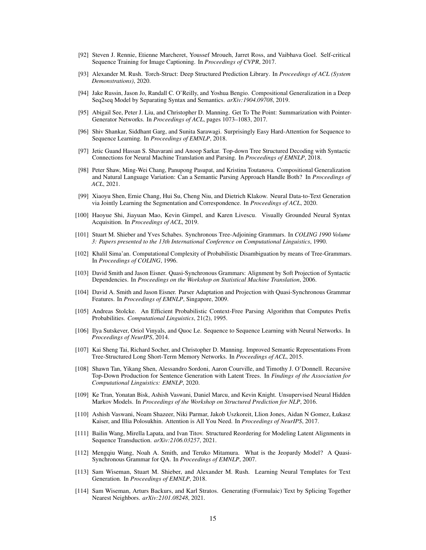- <span id="page-14-8"></span>[92] Steven J. Rennie, Etienne Marcheret, Youssef Mroueh, Jarret Ross, and Vaibhava Goel. Self-critical Sequence Training for Image Captioning. In *Proceedings of CVPR*, 2017.
- <span id="page-14-9"></span>[93] Alexander M. Rush. Torch-Struct: Deep Structured Prediction Library. In *Proceedings of ACL (System Demonstrations)*, 2020.
- <span id="page-14-13"></span>[94] Jake Russin, Jason Jo, Randall C. O'Reilly, and Yoshua Bengio. Compositional Generalization in a Deep Seq2seq Model by Separating Syntax and Semantics. *arXiv:1904.09708*, 2019.
- <span id="page-14-11"></span>[95] Abigail See, Peter J. Liu, and Christopher D. Manning. Get To The Point: Summarization with Pointer-Generator Networks. In *Proceedings of ACL*, pages 1073–1083, 2017.
- <span id="page-14-6"></span>[96] Shiv Shankar, Siddhant Garg, and Sunita Sarawagi. Surprisingly Easy Hard-Attention for Sequence to Sequence Learning. In *Proceedings of EMNLP*, 2018.
- <span id="page-14-3"></span>[97] Jetic Guand Hassan S. Shavarani and Anoop Sarkar. Top-down Tree Structured Decoding with Syntactic Connections for Neural Machine Translation and Parsing. In *Proceedings of EMNLP*, 2018.
- <span id="page-14-14"></span>[98] Peter Shaw, Ming-Wei Chang, Panupong Pasupat, and Kristina Toutanova. Compositional Generalization and Natural Language Variation: Can a Semantic Parsing Approach Handle Both? In *Proceedings of ACL*, 2021.
- <span id="page-14-19"></span>[99] Xiaoyu Shen, Ernie Chang, Hui Su, Cheng Niu, and Dietrich Klakow. Neural Data-to-Text Generation via Jointly Learning the Segmentation and Correspondence. In *Proceedings of ACL*, 2020.
- <span id="page-14-22"></span>[100] Haoyue Shi, Jiayuan Mao, Kevin Gimpel, and Karen Livescu. Visually Grounded Neural Syntax Acquisition. In *Proceedings of ACL*, 2019.
- <span id="page-14-5"></span>[101] Stuart M. Shieber and Yves Schabes. Synchronous Tree-Adjoining Grammars. In *COLING 1990 Volume 3: Papers presented to the 13th International Conference on Computational Linguistics*, 1990.
- <span id="page-14-10"></span>[102] Khalil Sima'an. Computational Complexity of Probabilistic Disambiguation by means of Tree-Grammars. In *Proceedings of COLING*, 1996.
- <span id="page-14-2"></span>[103] David Smith and Jason Eisner. Quasi-Synchronous Grammars: Alignment by Soft Projection of Syntactic Dependencies. In *Proceedings on the Workshop on Statistical Machine Translation*, 2006.
- <span id="page-14-16"></span>[104] David A. Smith and Jason Eisner. Parser Adaptation and Projection with Quasi-Synchronous Grammar Features. In *Proceedings of EMNLP*, Singapore, 2009.
- <span id="page-14-15"></span>[105] Andreas Stolcke. An Efficient Probabilistic Context-Free Parsing Algorithm that Computes Prefix Probabilities. *Computational Linguistics*, 21(2), 1995.
- <span id="page-14-0"></span>[106] Ilya Sutskever, Oriol Vinyals, and Quoc Le. Sequence to Sequence Learning with Neural Networks. In *Proceedings of NeurIPS*, 2014.
- <span id="page-14-7"></span>[107] Kai Sheng Tai, Richard Socher, and Christopher D. Manning. Improved Semantic Representations From Tree-Structured Long Short-Term Memory Networks. In *Proceedings of ACL*, 2015.
- <span id="page-14-20"></span>[108] Shawn Tan, Yikang Shen, Alessandro Sordoni, Aaron Courville, and Timothy J. O'Donnell. Recursive Top-Down Production for Sentence Generation with Latent Trees. In *Findings of the Association for Computational Linguistics: EMNLP*, 2020.
- <span id="page-14-17"></span>[109] Ke Tran, Yonatan Bisk, Ashish Vaswani, Daniel Marcu, and Kevin Knight. Unsupervised Neural Hidden Markov Models. In *Proceedings of the Workshop on Structured Prediction for NLP*, 2016.
- <span id="page-14-1"></span>[110] Ashish Vaswani, Noam Shazeer, Niki Parmar, Jakob Uszkoreit, Llion Jones, Aidan N Gomez, Łukasz Kaiser, and Illia Polosukhin. Attention is All You Need. In *Proceedings of NeurIPS*, 2017.
- <span id="page-14-21"></span>[111] Bailin Wang, Mirella Lapata, and Ivan Titov. Structured Reordering for Modeling Latent Alignments in Sequence Transduction. *arXiv:2106.03257*, 2021.
- <span id="page-14-4"></span>[112] Mengqiu Wang, Noah A. Smith, and Teruko Mitamura. What is the Jeopardy Model? A Quasi-Synchronous Grammar for QA. In *Proceedings of EMNLP*, 2007.
- <span id="page-14-18"></span>[113] Sam Wiseman, Stuart M. Shieber, and Alexander M. Rush. Learning Neural Templates for Text Generation. In *Proceedings of EMNLP*, 2018.
- <span id="page-14-12"></span>[114] Sam Wiseman, Arturs Backurs, and Karl Stratos. Generating (Formulaic) Text by Splicing Together Nearest Neighbors. *arXiv:2101.08248*, 2021.